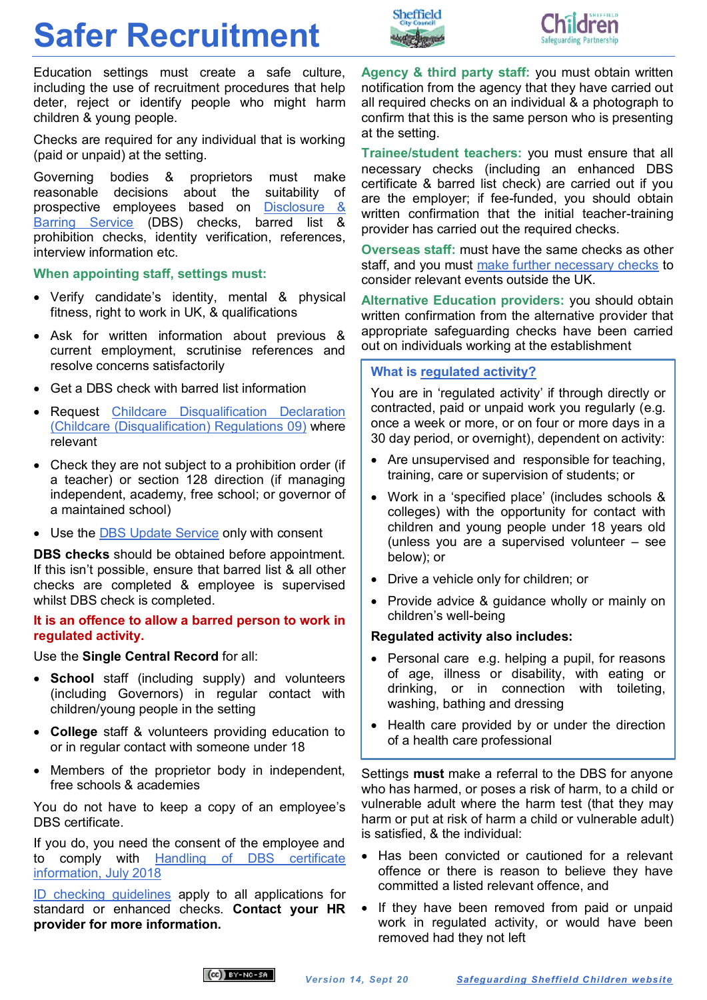## **Safer Recruitment**

Education settings must create a safe culture, including the use of recruitment procedures that help deter, reject or identify people who might harm children & young people.

Checks are required for any individual that is working (paid or unpaid) at the setting.

Governing bodies & proprietors must make reasonable decisions about the suitability of prospective employees based on [Disclosure &](https://www.gov.uk/government/organisations/disclosure-and-barring-service)  [Barring Service](https://www.gov.uk/government/organisations/disclosure-and-barring-service) (DBS) checks, barred list & prohibition checks, identity verification, references, interview information etc.

**When appointing staff, settings must:** 

- Verify candidate's identity, mental & physical fitness, right to work in UK, & qualifications
- Ask for written information about previous & current employment, scrutinise references and resolve concerns satisfactorily
- Get a DBS check with barred list information
- Request [Childcare Disqualification Declaration](https://www.gov.uk/government/publications/disqualification-under-the-childcare-act-2006/disqualification-under-the-childcare-act-2006)  [\(Childcare \(Disqualification\) Regulations 09\)](https://www.gov.uk/government/publications/disqualification-under-the-childcare-act-2006/disqualification-under-the-childcare-act-2006) where relevant
- Check they are not subject to a prohibition order (if a teacher) or section 128 direction (if managing independent, academy, free school; or governor of a maintained school)
- Use the [DBS Update Service](https://www.gov.uk/dbs-update-service) only with consent

**DBS checks** should be obtained before appointment. If this isn't possible, ensure that barred list & all other checks are completed & employee is supervised whilst DBS check is completed.

**It is an offence to allow a barred person to work in regulated activity.**

Use the **Single Central Record** for all:

- **School** staff (including supply) and volunteers (including Governors) in regular contact with children/young people in the setting
- **College** staff & volunteers providing education to or in regular contact with someone under 18
- Members of the proprietor body in independent, free schools & academies

You do not have to keep a copy of an employee's DBS certificate.

If you do, you need the consent of the employee and to comply with [Handling of DBS certificate](https://www.gov.uk/government/publications/handling-of-dbs-certificate-information/handling-of-dbs-certificate-information)  [information, July 2018](https://www.gov.uk/government/publications/handling-of-dbs-certificate-information/handling-of-dbs-certificate-information)

[ID checking guidelines](https://www.gov.uk/government/collections/dbs-checking-service-guidance--2) apply to all applications for standard or enhanced checks. **Contact your HR provider for more information.**

**Agency & third party staff:** you must obtain written notification from the agency that they have carried out all required checks on an individual & a photograph to confirm that this is the same person who is presenting at the setting.

**Trainee/student teachers:** you must ensure that all necessary checks (including an enhanced DBS certificate & barred list check) are carried out if you are the employer; if fee-funded, you should obtain written confirmation that the initial teacher-training provider has carried out the required checks.

**Overseas staff:** must have the same checks as other staff, and you must [make further necessary checks](https://www.gov.uk/government/publications/criminal-records-checks-for-overseas-applicants) to consider relevant events outside the UK.

**Alternative Education providers:** you should obtain written confirmation from the alternative provider that appropriate safeguarding checks have been carried out on individuals working at the establishment

## **What is [regulated activity?](https://assets.publishing.service.gov.uk/government/uploads/system/uploads/attachment_data/file/550197/Regulated_activity_in_relation_to_children.pdf)**

Sheffield

You are in 'regulated activity' if through directly or contracted, paid or unpaid work you regularly (e.g. once a week or more, or on four or more days in a 30 day period, or overnight), dependent on activity:

- Are unsupervised and responsible for teaching, training, care or supervision of students; or
- Work in a 'specified place' (includes schools & colleges) with the opportunity for contact with children and young people under 18 years old (unless you are a supervised volunteer – see below); or
- Drive a vehicle only for children; or
- Provide advice & guidance wholly or mainly on children's well-being

## **Regulated activity also includes:**

- Personal care e.g. helping a pupil, for reasons of age, illness or disability, with eating or drinking, or in connection with toileting, washing, bathing and dressing
- Health care provided by or under the direction of a health care professional

Settings **must** make a referral to the DBS for anyone who has harmed, or poses a risk of harm, to a child or vulnerable adult where the harm test (that they may harm or put at risk of harm a child or vulnerable adult) is satisfied, & the individual:

- Has been convicted or cautioned for a relevant offence or there is reason to believe they have committed a listed relevant offence, and
- If they have been removed from paid or unpaid work in regulated activity, or would have been removed had they not left